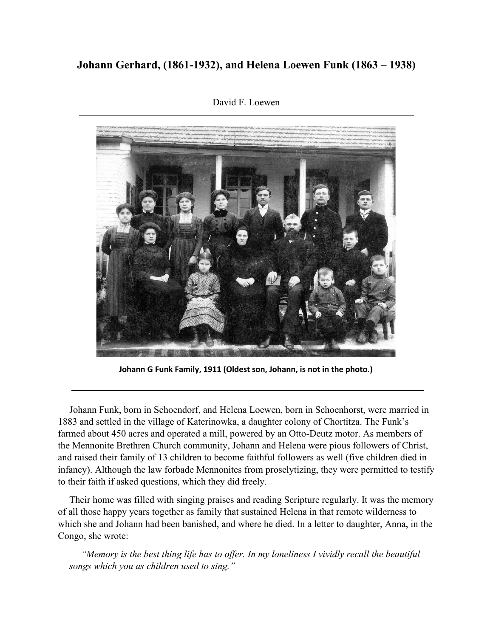## **Johann Gerhard, (1861-1932), and Helena Loewen Funk (1863 – 1938)**



David F. Loewen

**Johann G Funk Family, 1911 (Oldest son, Johann, is not in the photo.)**

Johann Funk, born in Schoendorf, and Helena Loewen, born in Schoenhorst, were married in 1883 and settled in the village of Katerinowka, a daughter colony of Chortitza. The Funk's farmed about 450 acres and operated a mill, powered by an Otto-Deutz motor. As members of the Mennonite Brethren Church community, Johann and Helena were pious followers of Christ, and raised their family of 13 children to become faithful followers as well (five children died in infancy). Although the law forbade Mennonites from proselytizing, they were permitted to testify to their faith if asked questions, which they did freely.

Their home was filled with singing praises and reading Scripture regularly. It was the memory of all those happy years together as family that sustained Helena in that remote wilderness to which she and Johann had been banished, and where he died. In a letter to daughter, Anna, in the Congo, she wrote:

*"Memory is the best thing life has to offer. In my loneliness I vividly recall the beautiful songs which you as children used to sing."*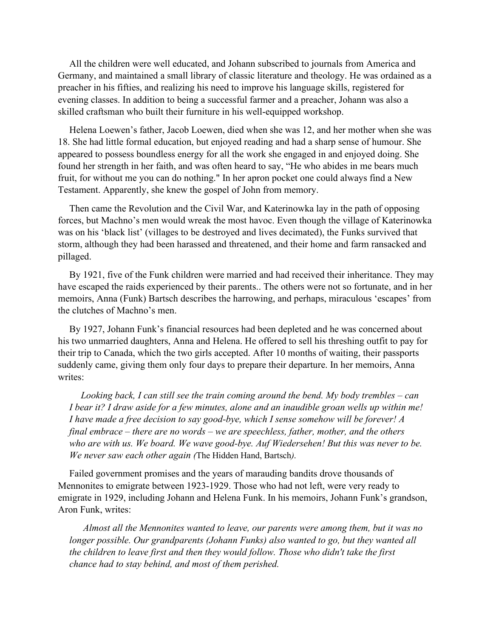All the children were well educated, and Johann subscribed to journals from America and Germany, and maintained a small library of classic literature and theology. He was ordained as a preacher in his fifties, and realizing his need to improve his language skills, registered for evening classes. In addition to being a successful farmer and a preacher, Johann was also a skilled craftsman who built their furniture in his well-equipped workshop.

Helena Loewen's father, Jacob Loewen, died when she was 12, and her mother when she was 18. She had little formal education, but enjoyed reading and had a sharp sense of humour. She appeared to possess boundless energy for all the work she engaged in and enjoyed doing. She found her strength in her faith, and was often heard to say, "He who abides in me bears much fruit, for without me you can do nothing." In her apron pocket one could always find a New Testament. Apparently, she knew the gospel of John from memory.

Then came the Revolution and the Civil War, and Katerinowka lay in the path of opposing forces, but Machno's men would wreak the most havoc. Even though the village of Katerinowka was on his 'black list' (villages to be destroyed and lives decimated), the Funks survived that storm, although they had been harassed and threatened, and their home and farm ransacked and pillaged.

By 1921, five of the Funk children were married and had received their inheritance. They may have escaped the raids experienced by their parents.. The others were not so fortunate, and in her memoirs, Anna (Funk) Bartsch describes the harrowing, and perhaps, miraculous 'escapes' from the clutches of Machno's men.

By 1927, Johann Funk's financial resources had been depleted and he was concerned about his two unmarried daughters, Anna and Helena. He offered to sell his threshing outfit to pay for their trip to Canada, which the two girls accepted. After 10 months of waiting, their passports suddenly came, giving them only four days to prepare their departure. In her memoirs, Anna writes:

*Looking back, I can still see the train coming around the bend. My body trembles – can I bear it? I draw aside for a few minutes, alone and an inaudible groan wells up within me! I have made a free decision to say good-bye, which I sense somehow will be forever! A final embrace – there are no words – we are speechless, father, mother, and the others who are with us. We board. We wave good-bye. Auf Wiedersehen! But this was never to be. We never saw each other again (*The Hidden Hand, Bartsch*).*

Failed government promises and the years of marauding bandits drove thousands of Mennonites to emigrate between 1923-1929. Those who had not left, were very ready to emigrate in 1929, including Johann and Helena Funk. In his memoirs, Johann Funk's grandson, Aron Funk, writes:

*Almost all the Mennonites wanted to leave, our parents were among them, but it was no longer possible. Our grandparents (Johann Funks) also wanted to go, but they wanted all the children to leave first and then they would follow. Those who didn't take the first chance had to stay behind, and most of them perished.*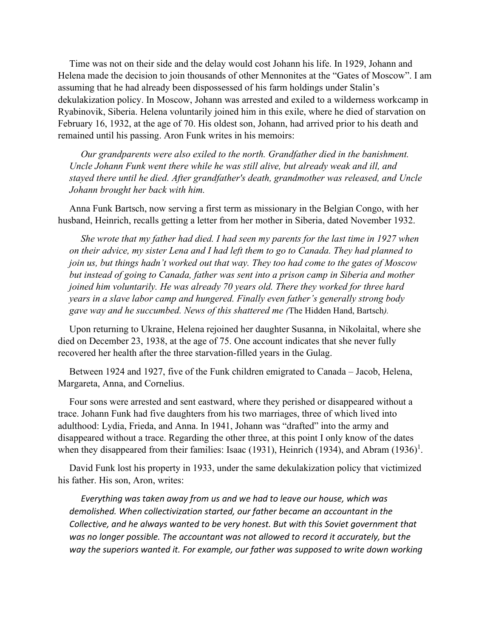Time was not on their side and the delay would cost Johann his life. In 1929, Johann and Helena made the decision to join thousands of other Mennonites at the "Gates of Moscow". I am assuming that he had already been dispossessed of his farm holdings under Stalin's dekulakization policy. In Moscow, Johann was arrested and exiled to a wilderness workcamp in Ryabinovik, Siberia. Helena voluntarily joined him in this exile, where he died of starvation on February 16, 1932, at the age of 70. His oldest son, Johann, had arrived prior to his death and remained until his passing. Aron Funk writes in his memoirs:

*Our grandparents were also exiled to the north. Grandfather died in the banishment. Uncle Johann Funk went there while he was still alive, but already weak and ill, and stayed there until he died. After grandfather's death, grandmother was released, and Uncle Johann brought her back with him.*

Anna Funk Bartsch, now serving a first term as missionary in the Belgian Congo, with her husband, Heinrich, recalls getting a letter from her mother in Siberia, dated November 1932.

*She wrote that my father had died. I had seen my parents for the last time in 1927 when on their advice, my sister Lena and I had left them to go to Canada. They had planned to join us, but things hadn't worked out that way. They too had come to the gates of Moscow but instead of going to Canada, father was sent into a prison camp in Siberia and mother joined him voluntarily. He was already 70 years old. There they worked for three hard years in a slave labor camp and hungered. Finally even father's generally strong body gave way and he succumbed. News of this shattered me (*The Hidden Hand, Bartsch*).*

Upon returning to Ukraine, Helena rejoined her daughter Susanna, in Nikolaital, where she died on December 23, 1938, at the age of 75. One account indicates that she never fully recovered her health after the three starvation-filled years in the Gulag.

Between 1924 and 1927, five of the Funk children emigrated to Canada – Jacob, Helena, Margareta, Anna, and Cornelius.

Four sons were arrested and sent eastward, where they perished or disappeared without a trace. Johann Funk had five daughters from his two marriages, three of which lived into adulthood: Lydia, Frieda, and Anna. In 1941, Johann was "drafted" into the army and disappeared without a trace. Regarding the other three, at this point I only know of the dates when they disappeared from their families: Isaac (1931), Heinrich (1934), and Abram (1936)<sup>1</sup>.

David Funk lost his property in 1933, under the same dekulakization policy that victimized his father. His son, Aron, writes:

*Everything was taken away from us and we had to leave our house, which was demolished. When collectivization started, our father became an accountant in the Collective, and he always wanted to be very honest. But with this Soviet government that was no longer possible. The accountant was not allowed to record it accurately, but the way the superiors wanted it. For example, our father was supposed to write down working*